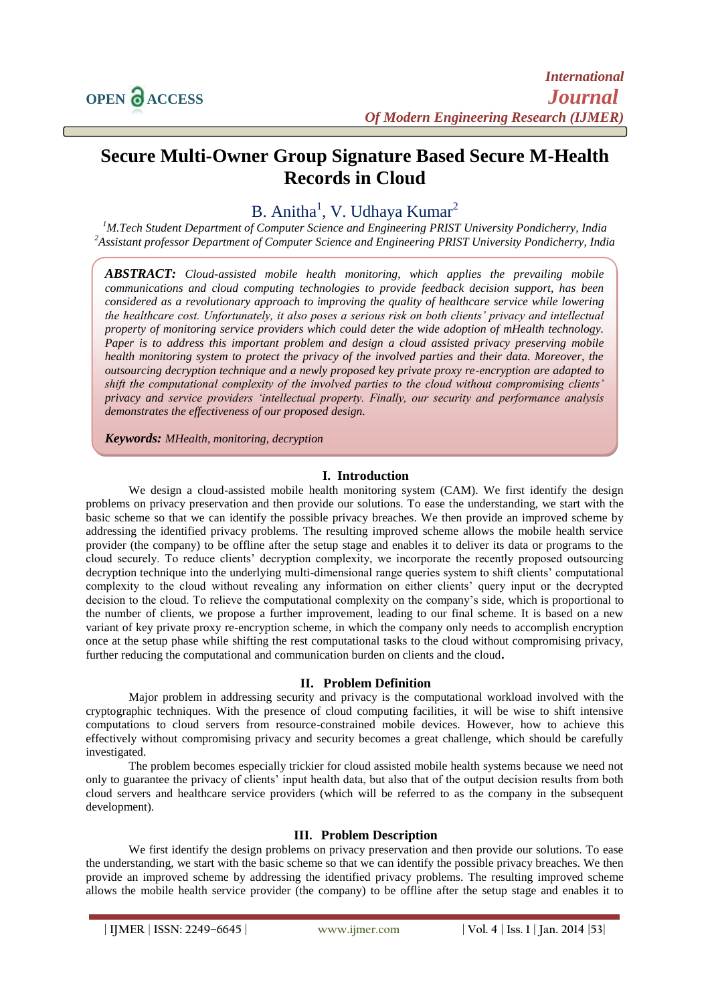# **Secure Multi-Owner Group Signature Based Secure M-Health Records in Cloud**

# B. Anitha<sup>1</sup>, V. Udhaya Kumar<sup>2</sup>

*<sup>1</sup>M.Tech Student Department of Computer Science and Engineering PRIST University Pondicherry, India <sup>2</sup>Assistant professor Department of Computer Science and Engineering PRIST University Pondicherry, India*

*ABSTRACT: Cloud-assisted mobile health monitoring, which applies the prevailing mobile communications and cloud computing technologies to provide feedback decision support, has been considered as a revolutionary approach to improving the quality of healthcare service while lowering the healthcare cost. Unfortunately, it also poses a serious risk on both clients' privacy and intellectual property of monitoring service providers which could deter the wide adoption of mHealth technology. Paper is to address this important problem and design a cloud assisted privacy preserving mobile health monitoring system to protect the privacy of the involved parties and their data. Moreover, the outsourcing decryption technique and a newly proposed key private proxy re-encryption are adapted to shift the computational complexity of the involved parties to the cloud without compromising clients' privacy and service providers 'intellectual property. Finally, our security and performance analysis demonstrates the effectiveness of our proposed design.* 

*Keywords: MHealth, monitoring, decryption*

## **I. Introduction**

We design a cloud-assisted mobile health monitoring system (CAM). We first identify the design problems on privacy preservation and then provide our solutions. To ease the understanding, we start with the basic scheme so that we can identify the possible privacy breaches. We then provide an improved scheme by addressing the identified privacy problems. The resulting improved scheme allows the mobile health service provider (the company) to be offline after the setup stage and enables it to deliver its data or programs to the cloud securely. To reduce clients' decryption complexity, we incorporate the recently proposed outsourcing decryption technique into the underlying multi-dimensional range queries system to shift clients' computational complexity to the cloud without revealing any information on either clients' query input or the decrypted decision to the cloud. To relieve the computational complexity on the company's side, which is proportional to the number of clients, we propose a further improvement, leading to our final scheme. It is based on a new variant of key private proxy re-encryption scheme, in which the company only needs to accomplish encryption once at the setup phase while shifting the rest computational tasks to the cloud without compromising privacy, further reducing the computational and communication burden on clients and the cloud**.**

# **II. Problem Definition**

Major problem in addressing security and privacy is the computational workload involved with the cryptographic techniques. With the presence of cloud computing facilities, it will be wise to shift intensive computations to cloud servers from resource-constrained mobile devices. However, how to achieve this effectively without compromising privacy and security becomes a great challenge, which should be carefully investigated.

The problem becomes especially trickier for cloud assisted mobile health systems because we need not only to guarantee the privacy of clients' input health data, but also that of the output decision results from both cloud servers and healthcare service providers (which will be referred to as the company in the subsequent development).

# **III. Problem Description**

We first identify the design problems on privacy preservation and then provide our solutions. To ease the understanding, we start with the basic scheme so that we can identify the possible privacy breaches. We then provide an improved scheme by addressing the identified privacy problems. The resulting improved scheme allows the mobile health service provider (the company) to be offline after the setup stage and enables it to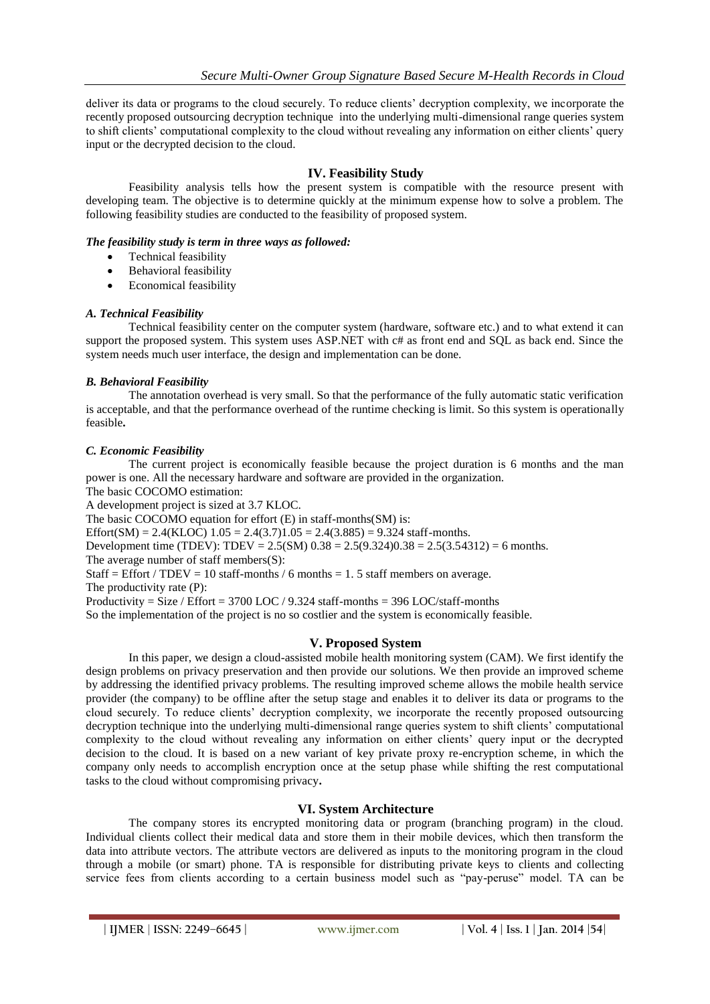deliver its data or programs to the cloud securely. To reduce clients' decryption complexity, we incorporate the recently proposed outsourcing decryption technique into the underlying multi-dimensional range queries system to shift clients' computational complexity to the cloud without revealing any information on either clients' query input or the decrypted decision to the cloud.

# **IV. Feasibility Study**

Feasibility analysis tells how the present system is compatible with the resource present with developing team. The objective is to determine quickly at the minimum expense how to solve a problem. The following feasibility studies are conducted to the feasibility of proposed system.

## *The feasibility study is term in three ways as followed:*

- Technical feasibility
- Behavioral feasibility
- Economical feasibility

## *A. Technical Feasibility*

Technical feasibility center on the computer system (hardware, software etc.) and to what extend it can support the proposed system. This system uses ASP.NET with  $c#$  as front end and SQL as back end. Since the system needs much user interface, the design and implementation can be done.

## *B. Behavioral Feasibility*

The annotation overhead is very small. So that the performance of the fully automatic static verification is acceptable, and that the performance overhead of the runtime checking is limit. So this system is operationally feasible**.**

## *C. Economic Feasibility*

The current project is economically feasible because the project duration is 6 months and the man power is one. All the necessary hardware and software are provided in the organization.

The basic COCOMO estimation:

A development project is sized at 3.7 KLOC.

The basic COCOMO equation for effort (E) in staff-months(SM) is:

Effort(SM) = 2.4(KLOC)  $1.05 = 2.4(3.7)1.05 = 2.4(3.885) = 9.324$  staff-months.

Development time (TDEV): TDEV =  $2.5(SM)$   $0.38 = 2.5(9.324)0.38 = 2.5(3.54312) = 6$  months.

The average number of staff members(S):

Staff = Effort / TDEV = 10 staff-months / 6 months = 1.5 staff members on average.

The productivity rate (P):

Productivity = Size / Effort = 3700 LOC / 9.324 staff-months = 396 LOC/staff-months

So the implementation of the project is no so costlier and the system is economically feasible.

## **V. Proposed System**

In this paper, we design a cloud-assisted mobile health monitoring system (CAM). We first identify the design problems on privacy preservation and then provide our solutions. We then provide an improved scheme by addressing the identified privacy problems. The resulting improved scheme allows the mobile health service provider (the company) to be offline after the setup stage and enables it to deliver its data or programs to the cloud securely. To reduce clients' decryption complexity, we incorporate the recently proposed outsourcing decryption technique into the underlying multi-dimensional range queries system to shift clients' computational complexity to the cloud without revealing any information on either clients' query input or the decrypted decision to the cloud. It is based on a new variant of key private proxy re-encryption scheme, in which the company only needs to accomplish encryption once at the setup phase while shifting the rest computational tasks to the cloud without compromising privacy**.** 

## **VI. System Architecture**

The company stores its encrypted monitoring data or program (branching program) in the cloud. Individual clients collect their medical data and store them in their mobile devices, which then transform the data into attribute vectors. The attribute vectors are delivered as inputs to the monitoring program in the cloud through a mobile (or smart) phone. TA is responsible for distributing private keys to clients and collecting service fees from clients according to a certain business model such as "pay-peruse" model. TA can be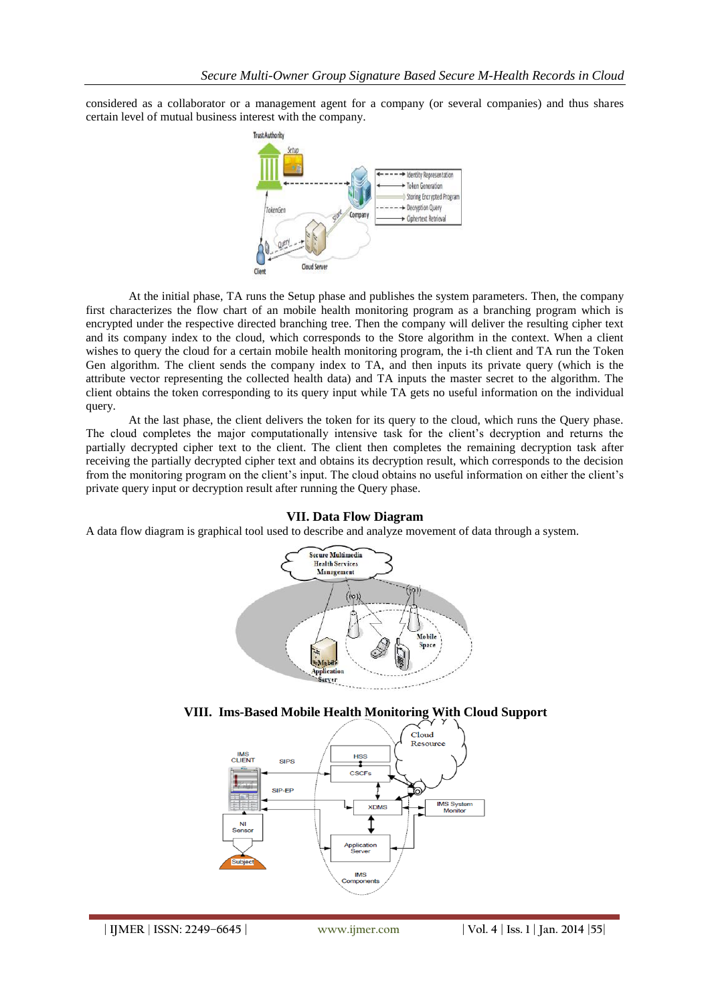considered as a collaborator or a management agent for a company (or several companies) and thus shares certain level of mutual business interest with the company.



At the initial phase, TA runs the Setup phase and publishes the system parameters. Then, the company first characterizes the flow chart of an mobile health monitoring program as a branching program which is encrypted under the respective directed branching tree. Then the company will deliver the resulting cipher text and its company index to the cloud, which corresponds to the Store algorithm in the context. When a client wishes to query the cloud for a certain mobile health monitoring program, the i-th client and TA run the Token Gen algorithm. The client sends the company index to TA, and then inputs its private query (which is the attribute vector representing the collected health data) and TA inputs the master secret to the algorithm. The client obtains the token corresponding to its query input while TA gets no useful information on the individual query.

At the last phase, the client delivers the token for its query to the cloud, which runs the Query phase. The cloud completes the major computationally intensive task for the client's decryption and returns the partially decrypted cipher text to the client. The client then completes the remaining decryption task after receiving the partially decrypted cipher text and obtains its decryption result, which corresponds to the decision from the monitoring program on the client's input. The cloud obtains no useful information on either the client's private query input or decryption result after running the Query phase.

## **VII. Data Flow Diagram**

A data flow diagram is graphical tool used to describe and analyze movement of data through a system.





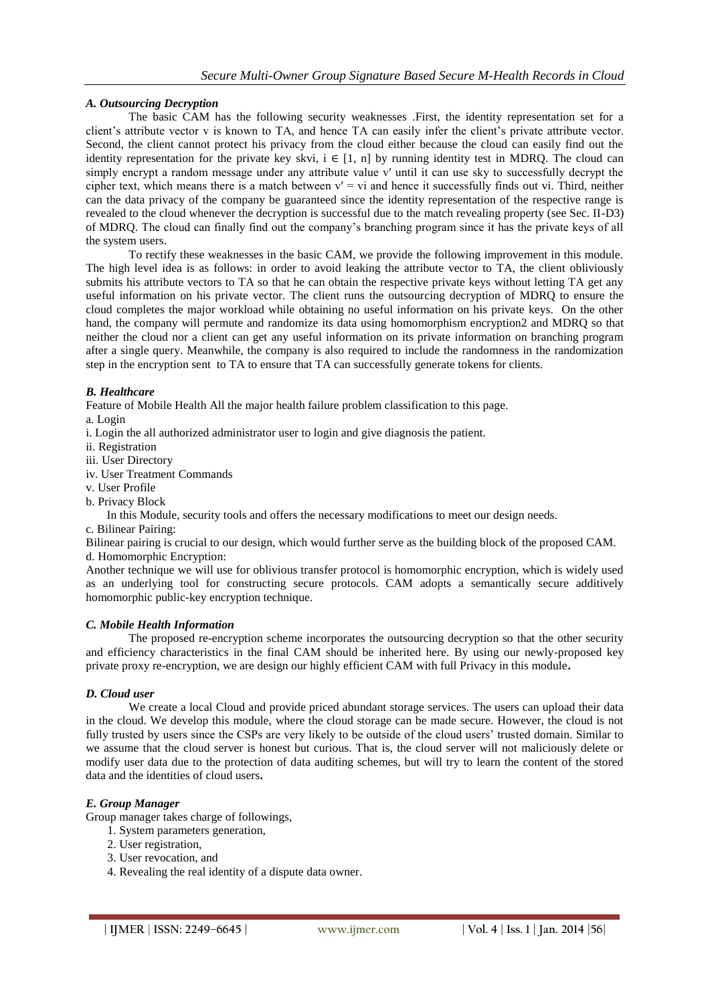# *A. Outsourcing Decryption*

The basic CAM has the following security weaknesses .First, the identity representation set for a client's attribute vector v is known to TA, and hence TA can easily infer the client's private attribute vector. Second, the client cannot protect his privacy from the cloud either because the cloud can easily find out the identity representation for the private key skvi,  $i \in [1, n]$  by running identity test in MDRQ. The cloud can simply encrypt a random message under any attribute value v' until it can use sky to successfully decrypt the cipher text, which means there is a match between  $v' = vi$  and hence it successfully finds out vi. Third, neither can the data privacy of the company be guaranteed since the identity representation of the respective range is revealed to the cloud whenever the decryption is successful due to the match revealing property (see Sec. II-D3) of MDRQ. The cloud can finally find out the company's branching program since it has the private keys of all the system users.

To rectify these weaknesses in the basic CAM, we provide the following improvement in this module. The high level idea is as follows: in order to avoid leaking the attribute vector to TA, the client obliviously submits his attribute vectors to TA so that he can obtain the respective private keys without letting TA get any useful information on his private vector. The client runs the outsourcing decryption of MDRQ to ensure the cloud completes the major workload while obtaining no useful information on his private keys. On the other hand, the company will permute and randomize its data using homomorphism encryption2 and MDRQ so that neither the cloud nor a client can get any useful information on its private information on branching program after a single query. Meanwhile, the company is also required to include the randomness in the randomization step in the encryption sent to TA to ensure that TA can successfully generate tokens for clients.

## *B. Healthcare*

Feature of Mobile Health All the major health failure problem classification to this page.

a. Login

i. Login the all authorized administrator user to login and give diagnosis the patient.

ii. Registration

iii. User Directory

iv. User Treatment Commands

v. User Profile

b. Privacy Block

In this Module, security tools and offers the necessary modifications to meet our design needs.

c. Bilinear Pairing:

Bilinear pairing is crucial to our design, which would further serve as the building block of the proposed CAM. d. Homomorphic Encryption:

Another technique we will use for oblivious transfer protocol is homomorphic encryption, which is widely used as an underlying tool for constructing secure protocols. CAM adopts a semantically secure additively homomorphic public-key encryption technique.

## *C. Mobile Health Information*

The proposed re-encryption scheme incorporates the outsourcing decryption so that the other security and efficiency characteristics in the final CAM should be inherited here. By using our newly-proposed key private proxy re-encryption, we are design our highly efficient CAM with full Privacy in this module**.**

## *D. Cloud user*

We create a local Cloud and provide priced abundant storage services. The users can upload their data in the cloud. We develop this module, where the cloud storage can be made secure. However, the cloud is not fully trusted by users since the CSPs are very likely to be outside of the cloud users' trusted domain. Similar to we assume that the cloud server is honest but curious. That is, the cloud server will not maliciously delete or modify user data due to the protection of data auditing schemes, but will try to learn the content of the stored data and the identities of cloud users**.**

## *E. Group Manager*

Group manager takes charge of followings,

- 1. System parameters generation,
- 2. User registration,
- 3. User revocation, and
- 4. Revealing the real identity of a dispute data owner.